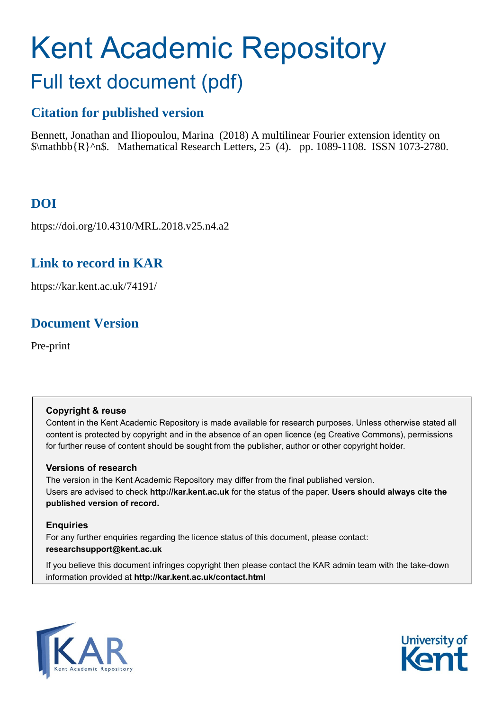# Kent Academic Repository Full text document (pdf)

# **Citation for published version**

Bennett, Jonathan and Iliopoulou, Marina (2018) A multilinear Fourier extension identity on \$\mathbb{R}^n\$. Mathematical Research Letters, 25 (4). pp. 1089-1108. ISSN 1073-2780.

# **DOI**

https://doi.org/10.4310/MRL.2018.v25.n4.a2

# **Link to record in KAR**

https://kar.kent.ac.uk/74191/

# **Document Version**

Pre-print

# **Copyright & reuse**

Content in the Kent Academic Repository is made available for research purposes. Unless otherwise stated all content is protected by copyright and in the absence of an open licence (eg Creative Commons), permissions for further reuse of content should be sought from the publisher, author or other copyright holder.

# **Versions of research**

The version in the Kent Academic Repository may differ from the final published version. Users are advised to check **http://kar.kent.ac.uk** for the status of the paper. **Users should always cite the published version of record.**

# **Enquiries**

For any further enquiries regarding the licence status of this document, please contact: **researchsupport@kent.ac.uk**

If you believe this document infringes copyright then please contact the KAR admin team with the take-down information provided at **http://kar.kent.ac.uk/contact.html**



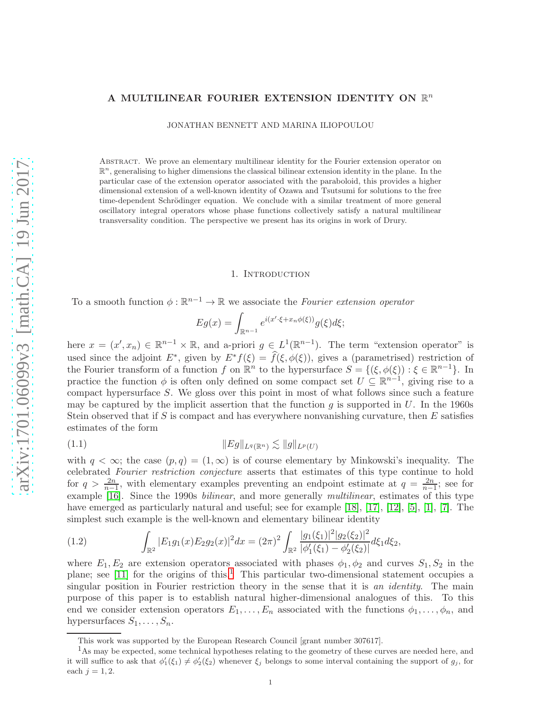## A MULTILINEAR FOURIER EXTENSION IDENTITY ON  $\mathbb{R}^n$

JONATHAN BENNETT AND MARINA ILIOPOULOU

Abstract. We prove an elementary multilinear identity for the Fourier extension operator on  $\mathbb{R}^n$ , generalising to higher dimensions the classical bilinear extension identity in the plane. In the particular case of the extension operator associated with the paraboloid, this provides a higher dimensional extension of a well-known identity of Ozawa and Tsutsumi for solutions to the free time-dependent Schrödinger equation. We conclude with a similar treatment of more general oscillatory integral operators whose phase functions collectively satisfy a natural multilinear transversality condition. The perspective we present has its origins in work of Drury.

#### 1. Introduction

To a smooth function  $\phi : \mathbb{R}^{n-1} \to \mathbb{R}$  we associate the Fourier extension operator

$$
Eg(x) = \int_{\mathbb{R}^{n-1}} e^{i(x' \cdot \xi + x_n \phi(\xi))} g(\xi) d\xi;
$$

here  $x = (x', x_n) \in \mathbb{R}^{n-1} \times \mathbb{R}$ , and a-priori  $g \in L^1(\mathbb{R}^{n-1})$ . The term "extension operator" is used since the adjoint  $E^*$ , given by  $E^*f(\xi) = \hat{f}(\xi, \phi(\xi))$ , gives a (parametrised) restriction of the Fourier transform of a function f on  $\mathbb{R}^n$  to the hypersurface  $S = \{(\xi, \phi(\xi)) : \xi \in \mathbb{R}^{n-1}\}\.$  In practice the function  $\phi$  is often only defined on some compact set  $U \subseteq \mathbb{R}^{n-1}$ , giving rise to a compact hypersurface S. We gloss over this point in most of what follows since such a feature may be captured by the implicit assertion that the function g is supported in  $U$ . In the 1960s Stein observed that if S is compact and has everywhere nonvanishing curvature, then  $E$  satisfies estimates of the form

$$
(1.1) \t\t\t\t\t||Eg||_{L^q(\mathbb{R}^n)} \lesssim ||g||_{L^p(U)}
$$

with  $q < \infty$ ; the case  $(p,q) = (1,\infty)$  is of course elementary by Minkowski's inequality. The celebrated Fourier restriction conjecture asserts that estimates of this type continue to hold for  $q > \frac{2n}{n-1}$ , with elementary examples preventing an endpoint estimate at  $q = \frac{2n}{n-1}$ ; see for example [16]. Since the 1990s *bilinear*, and more generally *multilinear*, estimates of this type have emerged as particularly natural and useful; see for example [18], [17], [12], [5], [1], [7]. The simplest such example is the well-known and elementary bilinear identity

(1.2) 
$$
\int_{\mathbb{R}^2} |E_1 g_1(x) E_2 g_2(x)|^2 dx = (2\pi)^2 \int_{\mathbb{R}^2} \frac{|g_1(\xi_1)|^2 |g_2(\xi_2)|^2}{|\phi_1'(\xi_1) - \phi_2'(\xi_2)|} d\xi_1 d\xi_2,
$$

where  $E_1, E_2$  are extension operators associated with phases  $\phi_1, \phi_2$  and curves  $S_1, S_2$  in the plane; see  $[11]$  for the origins of this.<sup>1</sup> This particular two-dimensional statement occupies a singular position in Fourier restriction theory in the sense that it is an identity. The main purpose of this paper is to establish natural higher-dimensional analogues of this. To this end we consider extension operators  $E_1, \ldots, E_n$  associated with the functions  $\phi_1, \ldots, \phi_n$ , and hypersurfaces  $S_1, \ldots, S_n$ .

This work was supported by the European Research Council [grant number 307617].

<sup>&</sup>lt;sup>1</sup>As may be expected, some technical hypotheses relating to the geometry of these curves are needed here, and it will suffice to ask that  $\phi'_1(\xi_1) \neq \phi'_2(\xi_2)$  whenever  $\xi_j$  belongs to some interval containing the support of  $g_j$ , for each  $j = 1, 2$ .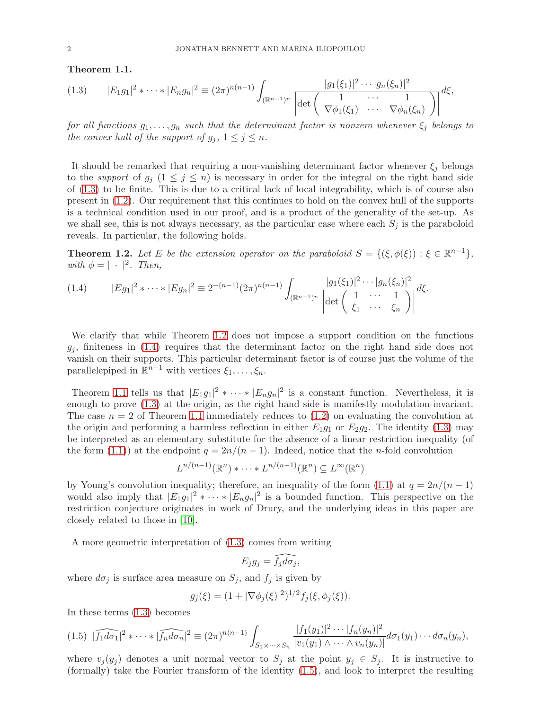Theorem 1.1.

$$
(1.3) \t|E_1g_1|^2 * \cdots * |E_ng_n|^2 \equiv (2\pi)^{n(n-1)} \int_{(\mathbb{R}^{n-1})^n} \frac{|g_1(\xi_1)|^2 \cdots |g_n(\xi_n)|^2}{\left| \det \begin{pmatrix} 1 & \cdots & 1 \\ \nabla \phi_1(\xi_1) & \cdots & \nabla \phi_n(\xi_n) \end{pmatrix} \right|} d\xi,
$$

for all functions  $g_1, \ldots, g_n$  such that the determinant factor is nonzero whenever  $\xi_j$  belongs to the convex hull of the support of  $g_j$ ,  $1 \leq j \leq n$ .

It should be remarked that requiring a non-vanishing determinant factor whenever  $\xi_j$  belongs to the support of  $g_j$   $(1 \leq j \leq n)$  is necessary in order for the integral on the right hand side of (1.3) to be finite. This is due to a critical lack of local integrability, which is of course also present in (1.2). Our requirement that this continues to hold on the convex hull of the supports is a technical condition used in our proof, and is a product of the generality of the set-up. As we shall see, this is not always necessary, as the particular case where each  $S_i$  is the paraboloid reveals. In particular, the following holds.

**Theorem 1.2.** Let E be the extension operator on the paraboloid  $S = \{(\xi, \phi(\xi)) : \xi \in \mathbb{R}^{n-1}\},\$ with  $\phi = |\cdot|^2$ . Then,

$$
(1.4) \t|Eg_1|^2 * \cdots * |Eg_n|^2 \equiv 2^{-(n-1)} (2\pi)^{n(n-1)} \int_{(\mathbb{R}^{n-1})^n} \frac{|g_1(\xi_1)|^2 \cdots |g_n(\xi_n)|^2}{\left|\det\begin{pmatrix} 1 & \cdots & 1\\ \xi_1 & \cdots & \xi_n \end{pmatrix}\right|} d\xi.
$$

We clarify that while Theorem 1.2 does not impose a support condition on the functions  $g_i$ , finiteness in (1.4) requires that the determinant factor on the right hand side does not vanish on their supports. This particular determinant factor is of course just the volume of the parallelepiped in  $\mathbb{R}^{n-1}$  with vertices  $\xi_1, \ldots, \xi_n$ .

Theorem 1.1 tells us that  $|E_1g_1|^2 * \cdots * |E_ng_n|^2$  is a constant function. Nevertheless, it is enough to prove (1.3) at the origin, as the right hand side is manifestly modulation-invariant. The case  $n = 2$  of Theorem 1.1 immediately reduces to  $(1.2)$  on evaluating the convolution at the origin and performing a harmless reflection in either  $E_{1}g_{1}$  or  $E_{2}g_{2}$ . The identity (1.3) may be interpreted as an elementary substitute for the absence of a linear restriction inequality (of the form (1.1)) at the endpoint  $q = 2n/(n-1)$ . Indeed, notice that the *n*-fold convolution

$$
L^{n/(n-1)}(\mathbb{R}^n) * \cdots * L^{n/(n-1)}(\mathbb{R}^n) \subseteq L^{\infty}(\mathbb{R}^n)
$$

by Young's convolution inequality; therefore, an inequality of the form (1.1) at  $q = 2n/(n-1)$ would also imply that  $|E_1g_1|^2 * \cdots * |E_ng_n|^2$  is a bounded function. This perspective on the restriction conjecture originates in work of Drury, and the underlying ideas in this paper are closely related to those in [10].

A more geometric interpretation of (1.3) comes from writing

$$
E_j g_j = \widehat{f_j d\sigma_j},
$$

where  $d\sigma_j$  is surface area measure on  $S_j$ , and  $f_j$  is given by

$$
g_j(\xi) = (1 + |\nabla \phi_j(\xi)|^2)^{1/2} f_j(\xi, \phi_j(\xi)).
$$

In these terms (1.3) becomes

$$
(1.5)\ \widehat{|f_1d\sigma_1|^2}\ast\cdots\ast\widehat{|f_nd\sigma_n|^2}\equiv(2\pi)^{n(n-1)}\int_{S_1\times\cdots\times S_n}\frac{|f_1(y_1)|^2\cdots|f_n(y_n)|^2}{|v_1(y_1)\wedge\cdots\wedge v_n(y_n)|}d\sigma_1(y_1)\cdots d\sigma_n(y_n),
$$

where  $v_j(y_j)$  denotes a unit normal vector to  $S_j$  at the point  $y_j \in S_j$ . It is instructive to (formally) take the Fourier transform of the identity (1.5), and look to interpret the resulting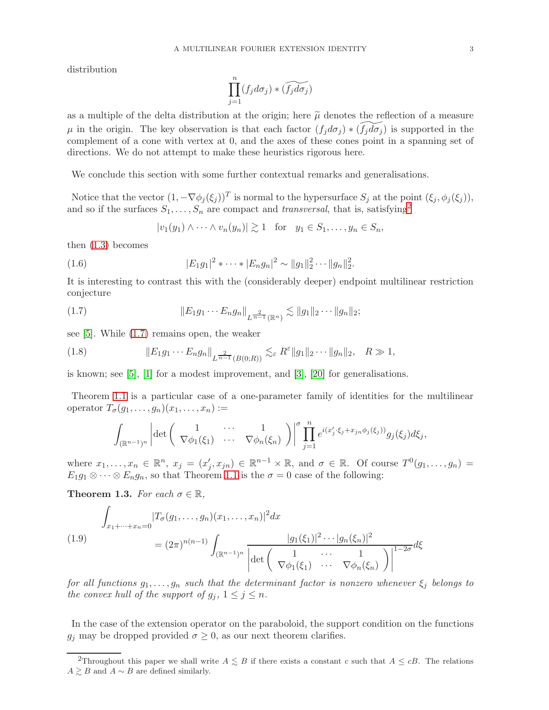distribution

$$
\prod_{j=1}^n (f_j d\sigma_j) * (\widetilde{f_j d\sigma_j})
$$

as a multiple of the delta distribution at the origin; here  $\tilde{\mu}$  denotes the reflection of a measure  $\mu$  in the origin. The key observation is that each factor  $(f_i d\sigma_i) * (f_i d\sigma_i)$  is supported in the complement of a cone with vertex at 0, and the axes of these cones point in a spanning set of directions. We do not attempt to make these heuristics rigorous here.

We conclude this section with some further contextual remarks and generalisations.

Notice that the vector  $(1, -\nabla \phi_j(\xi_j))^T$  is normal to the hypersurface  $S_j$  at the point  $(\xi_j, \phi_j(\xi_j))$ , and so if the surfaces  $S_1, \ldots, S_n$  are compact and transversal, that is, satisfying<sup>2</sup>

$$
|v_1(y_1) \wedge \cdots \wedge v_n(y_n)| \gtrsim 1 \quad \text{for} \quad y_1 \in S_1, \ldots, y_n \in S_n,
$$

then (1.3) becomes

(1.6) 
$$
|E_1g_1|^2 * \cdots * |E_ng_n|^2 \sim ||g_1||_2^2 \cdots ||g_n||_2^2.
$$

It is interesting to contrast this with the (considerably deeper) endpoint multilinear restriction conjecture

(1.7) 
$$
||E_1 g_1 \cdots E_n g_n||_{L^{\frac{2}{n-1}}(\mathbb{R}^n)} \lesssim ||g_1||_2 \cdots ||g_n||_2;
$$

see [5]. While (1.7) remains open, the weaker

(1.8) 
$$
||E_1 g_1 \cdots E_n g_n||_{L^{\frac{2}{n-1}}(B(0;R))} \lesssim_{\varepsilon} R^{\varepsilon} ||g_1||_2 \cdots ||g_n||_2, \quad R \gg 1,
$$

is known; see [5], [1] for a modest improvement, and [3], [20] for generalisations.

Theorem 1.1 is a particular case of a one-parameter family of identities for the multilinear operator  $T_{\sigma}(g_1,\ldots,g_n)(x_1,\ldots,x_n) :=$ 

$$
\int_{(\mathbb{R}^{n-1})^n} \left| \det \begin{pmatrix} 1 & \cdots & 1 \\ \nabla \phi_1(\xi_1) & \cdots & \nabla \phi_n(\xi_n) \end{pmatrix} \right|^\sigma \prod_{j=1}^n e^{i(x'_j \cdot \xi_j + x_{jn} \phi_j(\xi_j))} g_j(\xi_j) d\xi_j,
$$

where  $x_1, \ldots, x_n \in \mathbb{R}^n$ ,  $x_j = (x'_j, x_{jn}) \in \mathbb{R}^{n-1} \times \mathbb{R}$ , and  $\sigma \in \mathbb{R}$ . Of course  $T^0(g_1, \ldots, g_n) =$  $E_1g_1\otimes\cdots\otimes E_ng_n$ , so that Theorem 1.1 is the  $\sigma=0$  case of the following:

**Theorem 1.3.** For each  $\sigma \in \mathbb{R}$ ,

$$
\int_{x_1 + \dots + x_n = 0} |T_{\sigma}(g_1, \dots, g_n)(x_1, \dots, x_n)|^2 dx
$$
\n(1.9)\n
$$
= (2\pi)^{n(n-1)} \int_{(\mathbb{R}^{n-1})^n} \frac{|g_1(\xi_1)|^2 \cdots |g_n(\xi_n)|^2}{\left| \det \begin{pmatrix} 1 & \cdots & 1 \\ \nabla \phi_1(\xi_1) & \cdots & \nabla \phi_n(\xi_n) \end{pmatrix} \right|^{1-2\sigma}} d\xi
$$

for all functions  $g_1, \ldots, g_n$  such that the determinant factor is nonzero whenever  $\xi_j$  belongs to the convex hull of the support of  $g_j$ ,  $1 \leq j \leq n$ .

In the case of the extension operator on the paraboloid, the support condition on the functions  $g_j$  may be dropped provided  $\sigma \geq 0$ , as our next theorem clarifies.

<sup>&</sup>lt;sup>2</sup>Throughout this paper we shall write  $A \leq B$  if there exists a constant c such that  $A \leq cB$ . The relations  $A\gtrsim B$  and  $A\sim B$  are defined similarly.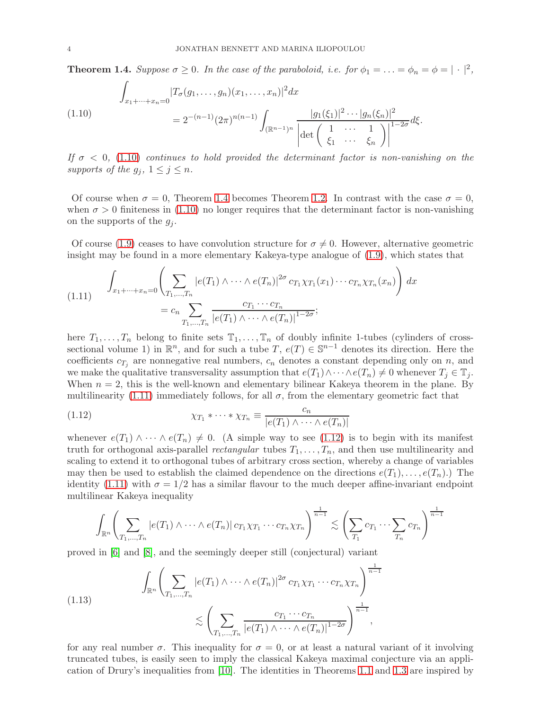**Theorem 1.4.** Suppose  $\sigma \geq 0$ . In the case of the paraboloid, i.e. for  $\phi_1 = \ldots = \phi_n = \phi = |\cdot|^2$ ,

$$
\int_{x_1 + \dots + x_n = 0} |T_{\sigma}(g_1, \dots, g_n)(x_1, \dots, x_n)|^2 dx
$$
\n(1.10)\n
$$
= 2^{-(n-1)} (2\pi)^{n(n-1)} \int_{(\mathbb{R}^{n-1})^n} \frac{|g_1(\xi_1)|^2 \cdots |g_n(\xi_n)|^2}{\left|\det\left(\begin{array}{ccc} 1 & \cdots & 1 \\ \xi_1 & \cdots & \xi_n \end{array}\right)\right|^{1-2\sigma}} d\xi.
$$

If  $\sigma$  < 0, (1.10) continues to hold provided the determinant factor is non-vanishing on the supports of the  $g_i$ ,  $1 \leq j \leq n$ .

Of course when  $\sigma = 0$ , Theorem 1.4 becomes Theorem 1.2. In contrast with the case  $\sigma = 0$ , when  $\sigma > 0$  finiteness in (1.10) no longer requires that the determinant factor is non-vanishing on the supports of the  $g_i$ .

Of course (1.9) ceases to have convolution structure for  $\sigma \neq 0$ . However, alternative geometric insight may be found in a more elementary Kakeya-type analogue of (1.9), which states that

(1.11) 
$$
\int_{x_1 + \dots + x_n = 0} \left( \sum_{T_1, \dots, T_n} |e(T_1) \wedge \dots \wedge e(T_n)|^{2\sigma} c_{T_1} \chi_{T_1}(x_1) \dots c_{T_n} \chi_{T_n}(x_n) \right) dx
$$

$$
= c_n \sum_{T_1, \dots, T_n} \frac{c_{T_1} \dots c_{T_n}}{|e(T_1) \wedge \dots \wedge e(T_n)|^{1 - 2\sigma}};
$$

here  $T_1, \ldots, T_n$  belong to finite sets  $\mathbb{T}_1, \ldots, \mathbb{T}_n$  of doubly infinite 1-tubes (cylinders of crosssectional volume 1) in  $\mathbb{R}^n$ , and for such a tube  $T$ ,  $e(T) \in \mathbb{S}^{n-1}$  denotes its direction. Here the coefficients  $c_{T_j}$  are nonnegative real numbers,  $c_n$  denotes a constant depending only on n, and we make the qualitative transversality assumption that  $e(T_1) \wedge \cdots \wedge e(T_n) \neq 0$  whenever  $T_j \in \mathbb{T}_j$ . When  $n = 2$ , this is the well-known and elementary bilinear Kakeya theorem in the plane. By multilinearity (1.11) immediately follows, for all  $\sigma$ , from the elementary geometric fact that

(1.12) 
$$
\chi_{T_1} * \cdots * \chi_{T_n} \equiv \frac{c_n}{|e(T_1) \wedge \cdots \wedge e(T_n)|}
$$

whenever  $e(T_1) \wedge \cdots \wedge e(T_n) \neq 0$ . (A simple way to see (1.12) is to begin with its manifest truth for orthogonal axis-parallel *rectangular* tubes  $T_1, \ldots, T_n$ , and then use multilinearity and scaling to extend it to orthogonal tubes of arbitrary cross section, whereby a change of variables may then be used to establish the claimed dependence on the directions  $e(T_1), \ldots, e(T_n)$ .) The identity (1.11) with  $\sigma = 1/2$  has a similar flavour to the much deeper affine-invariant endpoint multilinear Kakeya inequality

$$
\int_{\mathbb{R}^n} \left( \sum_{T_1, \dots, T_n} |e(T_1) \wedge \dots \wedge e(T_n)| \, c_{T_1} \chi_{T_1} \cdots c_{T_n} \chi_{T_n} \right)^{\frac{1}{n-1}} \lesssim \left( \sum_{T_1} c_{T_1} \cdots \sum_{T_n} c_{T_n} \right)^{\frac{1}{n-1}}
$$

proved in [6] and [8], and the seemingly deeper still (conjectural) variant

(1.13) 
$$
\int_{\mathbb{R}^n} \left( \sum_{T_1, ..., T_n} |e(T_1) \wedge \cdots \wedge e(T_n)|^{2\sigma} c_{T_1} \chi_{T_1} \cdots c_{T_n} \chi_{T_n} \right)^{\frac{1}{n-1}} \leq \left( \sum_{T_1, ..., T_n} \frac{c_{T_1} \cdots c_{T_n}}{|e(T_1) \wedge \cdots \wedge e(T_n)|^{1-2\sigma}} \right)^{\frac{1}{n-1}},
$$

for any real number  $\sigma$ . This inequality for  $\sigma = 0$ , or at least a natural variant of it involving truncated tubes, is easily seen to imply the classical Kakeya maximal conjecture via an application of Drury's inequalities from [10]. The identities in Theorems 1.1 and 1.3 are inspired by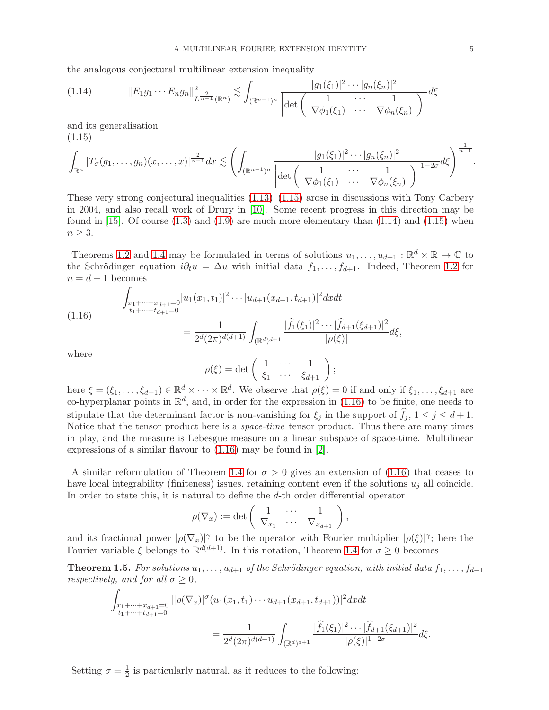the analogous conjectural multilinear extension inequality

$$
(1.14) \t\t\t||E_1 g_1 \cdots E_n g_n||_{L^{\frac{2}{n-1}}(\mathbb{R}^n)}^2 \lesssim \int_{(\mathbb{R}^{n-1})^n} \frac{|g_1(\xi_1)|^2 \cdots |g_n(\xi_n)|^2}{\left| \det \begin{pmatrix} 1 & \cdots & 1 \\ \nabla \phi_1(\xi_1) & \cdots & \nabla \phi_n(\xi_n) \end{pmatrix} \right|} d\xi
$$

and its generalisation (1.15)

$$
\int_{\mathbb{R}^n} |T_{\sigma}(g_1,\ldots,g_n)(x,\ldots,x)|^{\frac{2}{n-1}} dx \lesssim \left( \int_{(\mathbb{R}^{n-1})^n} \frac{|g_1(\xi_1)|^2 \cdots |g_n(\xi_n)|^2}{\left| \det \begin{pmatrix} 1 & \cdots & 1 \\ \nabla \phi_1(\xi_1) & \cdots & \nabla \phi_n(\xi_n) \end{pmatrix} \right|^{1-2\sigma} d\xi \right)^{\frac{1}{n-1}}.
$$

These very strong conjectural inequalities  $(1.13)$ – $(1.15)$  arose in discussions with Tony Carbery in 2004, and also recall work of Drury in [10]. Some recent progress in this direction may be found in  $[15]$ . Of course  $(1.3)$  and  $(1.9)$  are much more elementary than  $(1.14)$  and  $(1.15)$  when  $n \geq 3$ .

Theorems 1.2 and 1.4 may be formulated in terms of solutions  $u_1, \ldots, u_{d+1} : \mathbb{R}^d \times \mathbb{R} \to \mathbb{C}$  to the Schrödinger equation  $i\partial_t u = \Delta u$  with initial data  $f_1, \ldots, f_{d+1}$ . Indeed, Theorem 1.2 for  $n = d + 1$  becomes

$$
(1.16) \qquad \int_{\substack{x_1 + \dots + x_{d+1} = 0 \\ t_1 + \dots + t_{d+1} = 0}} |u_1(x_1, t_1)|^2 \dots |u_{d+1}(x_{d+1}, t_{d+1})|^2 dx dt
$$
\n
$$
= \frac{1}{2^d (2\pi)^{d(d+1)}} \int_{(\mathbb{R}^d)^{d+1}} \frac{|\widehat{f}_1(\xi_1)|^2 \dots |\widehat{f}_{d+1}(\xi_{d+1})|^2}{|\rho(\xi)|} d\xi,
$$

where

$$
\rho(\xi) = \det\left(\begin{array}{ccc} 1 & \cdots & 1 \\ \xi_1 & \cdots & \xi_{d+1} \end{array}\right);
$$

here  $\xi = (\xi_1, \ldots, \xi_{d+1}) \in \mathbb{R}^d \times \cdots \times \mathbb{R}^d$ . We observe that  $\rho(\xi) = 0$  if and only if  $\xi_1, \ldots, \xi_{d+1}$  are co-hyperplanar points in  $\mathbb{R}^d$ , and, in order for the expression in (1.16) to be finite, one needs to stipulate that the determinant factor is non-vanishing for  $\xi_j$  in the support of  $f_j$ ,  $1 \leq j \leq d+1$ . Notice that the tensor product here is a space-time tensor product. Thus there are many times in play, and the measure is Lebesgue measure on a linear subspace of space-time. Multilinear expressions of a similar flavour to (1.16) may be found in [2].

A similar reformulation of Theorem 1.4 for  $\sigma > 0$  gives an extension of (1.16) that ceases to have local integrability (finiteness) issues, retaining content even if the solutions  $u_i$  all coincide. In order to state this, it is natural to define the d-th order differential operator

$$
\rho(\nabla_x) := \det \left( \begin{array}{ccc} 1 & \cdots & 1 \\ \nabla_{x_1} & \cdots & \nabla_{x_{d+1}} \end{array} \right),
$$

and its fractional power  $|\rho(\nabla_x)|^{\gamma}$  to be the operator with Fourier multiplier  $|\rho(\xi)|^{\gamma}$ ; here the Fourier variable  $\xi$  belongs to  $\mathbb{R}^{d(d+1)}$ . In this notation, Theorem 1.4 for  $\sigma \geq 0$  becomes

**Theorem 1.5.** For solutions  $u_1, \ldots, u_{d+1}$  of the Schrödinger equation, with initial data  $f_1, \ldots, f_{d+1}$ *respectively, and for all*  $\sigma \geq 0$ *,* 

$$
\int_{\substack{x_1+\dots+x_{d+1}=0\\t_1+\dots+t_{d+1}=0}} ||\rho(\nabla_x)|^{\sigma} (u_1(x_1,t_1)\cdots u_{d+1}(x_{d+1},t_{d+1}))|^2 dx dt
$$
\n
$$
= \frac{1}{2^d (2\pi)^{d(d+1)}} \int_{(\mathbb{R}^d)^{d+1}} \frac{|\widehat{f}_1(\xi_1)|^2 \cdots |\widehat{f}_{d+1}(\xi_{d+1})|^2}{|\rho(\xi)|^{1-2\sigma}} d\xi.
$$

Setting  $\sigma = \frac{1}{2}$  $\frac{1}{2}$  is particularly natural, as it reduces to the following: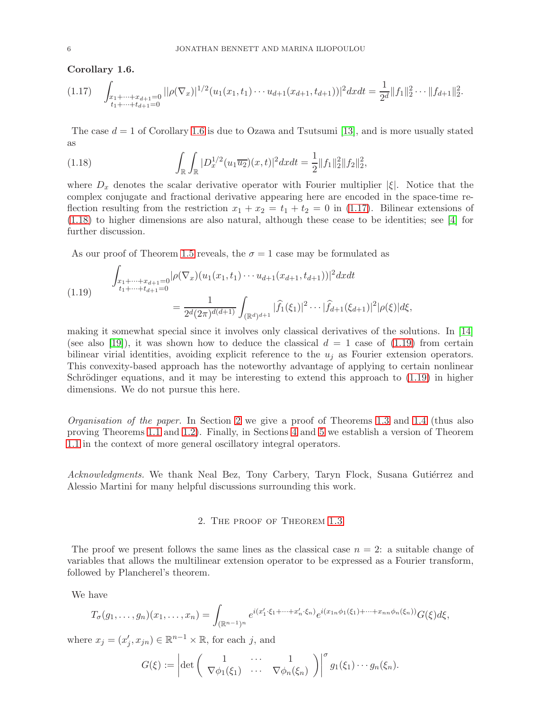Corollary 1.6.

$$
(1.17)\quad \int_{\substack{x_1+\dots+x_{d+1}=0\\t_1+\dots+t_{d+1}=0}}||\rho(\nabla_x)|^{1/2}(u_1(x_1,t_1)\cdots u_{d+1}(x_{d+1},t_{d+1}))|^2dxdt=\frac{1}{2^d}\|f_1\|_2^2\cdots\|f_{d+1}\|_2^2.
$$

The case  $d = 1$  of Corollary 1.6 is due to Ozawa and Tsutsumi [13], and is more usually stated as

(1.18) 
$$
\int_{\mathbb{R}} \int_{\mathbb{R}} |D_x^{1/2}(u_1 \overline{u_2})(x,t)|^2 dxdt = \frac{1}{2} ||f_1||_2^2 ||f_2||_2^2,
$$

where  $D_x$  denotes the scalar derivative operator with Fourier multiplier  $|\xi|$ . Notice that the complex conjugate and fractional derivative appearing here are encoded in the space-time reflection resulting from the restriction  $x_1 + x_2 = t_1 + t_2 = 0$  in (1.17). Bilinear extensions of (1.18) to higher dimensions are also natural, although these cease to be identities; see [4] for further discussion.

As our proof of Theorem 1.5 reveals, the  $\sigma = 1$  case may be formulated as

(1.19) 
$$
\int_{\substack{x_1 + \dots + x_{d+1} = 0 \\ t_1 + \dots + t_{d+1} = 0}} |\rho(\nabla_x)(u_1(x_1, t_1) \cdots u_{d+1}(x_{d+1}, t_{d+1}))|^2 dx dt
$$

$$
= \frac{1}{2^d (2\pi)^{d(d+1)}} \int_{(\mathbb{R}^d)^{d+1}} |\widehat{f}_1(\xi_1)|^2 \cdots |\widehat{f}_{d+1}(\xi_{d+1})|^2 |\rho(\xi)| d\xi,
$$

making it somewhat special since it involves only classical derivatives of the solutions. In [14] (see also [19]), it was shown how to deduce the classical  $d = 1$  case of (1.19) from certain bilinear virial identities, avoiding explicit reference to the  $u_j$  as Fourier extension operators. This convexity-based approach has the noteworthy advantage of applying to certain nonlinear Schrödinger equations, and it may be interesting to extend this approach to  $(1.19)$  in higher dimensions. We do not pursue this here.

Organisation of the paper. In Section 2 we give a proof of Theorems 1.3 and 1.4 (thus also proving Theorems 1.1 and 1.2). Finally, in Sections 4 and 5 we establish a version of Theorem 1.1 in the context of more general oscillatory integral operators.

Acknowledgments. We thank Neal Bez, Tony Carbery, Taryn Flock, Susana Gutiérrez and Alessio Martini for many helpful discussions surrounding this work.

#### 2. The proof of Theorem 1.3

The proof we present follows the same lines as the classical case  $n = 2$ : a suitable change of variables that allows the multilinear extension operator to be expressed as a Fourier transform, followed by Plancherel's theorem.

We have

$$
T_{\sigma}(g_1,\ldots,g_n)(x_1,\ldots,x_n) = \int_{(\mathbb{R}^{n-1})^n} e^{i(x_1'\cdot\xi_1+\cdots+x_n'\cdot\xi_n)} e^{i(x_{1n}\phi_1(\xi_1)+\cdots+x_{nn}\phi_n(\xi_n))} G(\xi) d\xi,
$$

where  $x_j = (x'_j, x_{jn}) \in \mathbb{R}^{n-1} \times \mathbb{R}$ , for each j, and

$$
G(\xi) := \left| \det \begin{pmatrix} 1 & \cdots & 1 \\ \nabla \phi_1(\xi_1) & \cdots & \nabla \phi_n(\xi_n) \end{pmatrix} \right|^{\sigma} g_1(\xi_1) \cdots g_n(\xi_n).
$$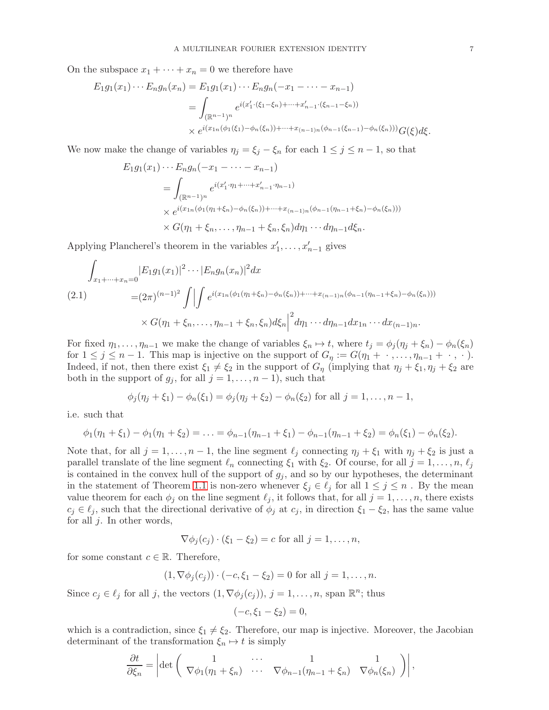On the subspace  $x_1 + \cdots + x_n = 0$  we therefore have

$$
E_1 g_1(x_1) \cdots E_n g_n(x_n) = E_1 g_1(x_1) \cdots E_n g_n(-x_1 - \cdots - x_{n-1})
$$
  
= 
$$
\int_{(\mathbb{R}^{n-1})^n} e^{i(x'_1 \cdot (\xi_1 - \xi_n) + \cdots + x'_{n-1} \cdot (\xi_{n-1} - \xi_n))}
$$
  
\$\times e^{i(x\_{1n}(\phi\_1(\xi\_1) - \phi\_n(\xi\_n)) + \cdots + x\_{(n-1)n}(\phi\_{n-1}(\xi\_{n-1}) - \phi\_n(\xi\_n)))} G(\xi) d\xi\$.

We now make the change of variables  $\eta_j = \xi_j - \xi_n$  for each  $1 \leq j \leq n-1$ , so that

$$
E_1 g_1(x_1) \cdots E_n g_n(-x_1 - \cdots - x_{n-1})
$$
  
= 
$$
\int_{(\mathbb{R}^{n-1})^n} e^{i(x'_1 \cdot \eta_1 + \cdots + x'_{n-1} \cdot \eta_{n-1})}
$$
  

$$
\times e^{i(x_{1n}(\phi_1(\eta_1 + \xi_n) - \phi_n(\xi_n)) + \cdots + x_{(n-1)n}(\phi_{n-1}(\eta_{n-1} + \xi_n) - \phi_n(\xi_n)))}
$$
  

$$
\times G(\eta_1 + \xi_n, \dots, \eta_{n-1} + \xi_n, \xi_n) d\eta_1 \cdots d\eta_{n-1} d\xi_n.
$$

Applying Plancherel's theorem in the variables  $x'_1, \ldots, x'_{n-1}$  gives

$$
\int_{x_1 + \dots + x_n = 0} |E_1 g_1(x_1)|^2 \dots |E_n g_n(x_n)|^2 dx
$$
\n
$$
= (2\pi)^{(n-1)^2} \int \left| \int e^{i(x_{1n}(\phi_1(\eta_1 + \xi_n) - \phi_n(\xi_n)) + \dots + x_{(n-1)n}(\phi_{n-1}(\eta_{n-1} + \xi_n) - \phi_n(\xi_n)))} \right|
$$
\n
$$
\times G(\eta_1 + \xi_n, \dots, \eta_{n-1} + \xi_n, \xi_n) d\xi_n \Big|^2 d\eta_1 \dots d\eta_{n-1} dx_{1n} \dots dx_{(n-1)n}.
$$

For fixed  $\eta_1, \ldots, \eta_{n-1}$  we make the change of variables  $\xi_n \mapsto t$ , where  $t_j = \phi_j (\eta_j + \xi_n) - \phi_n(\xi_n)$ for  $1 \leq j \leq n-1$ . This map is injective on the support of  $G_\eta := G(\eta_1 + \cdot, \dots, \eta_{n-1} + \cdot, \cdot)$ . Indeed, if not, then there exist  $\xi_1 \neq \xi_2$  in the support of  $G_\eta$  (implying that  $\eta_j + \xi_1, \eta_j + \xi_2$  are both in the support of  $g_j$ , for all  $j = 1, \ldots, n - 1$ , such that

$$
\phi_j(\eta_j + \xi_1) - \phi_n(\xi_1) = \phi_j(\eta_j + \xi_2) - \phi_n(\xi_2)
$$
 for all  $j = 1, ..., n - 1$ ,

i.e. such that

$$
\phi_1(\eta_1+\xi_1)-\phi_1(\eta_1+\xi_2)=\ldots=\phi_{n-1}(\eta_{n-1}+\xi_1)-\phi_{n-1}(\eta_{n-1}+\xi_2)=\phi_n(\xi_1)-\phi_n(\xi_2).
$$

Note that, for all  $j = 1, \ldots, n - 1$ , the line segment  $\ell_j$  connecting  $\eta_j + \xi_1$  with  $\eta_j + \xi_2$  is just a parallel translate of the line segment  $\ell_n$  connecting  $\xi_1$  with  $\xi_2$ . Of course, for all  $j = 1, \ldots, n, \ell_j$ is contained in the convex hull of the support of  $g_i$ , and so by our hypotheses, the determinant in the statement of Theorem 1.1 is non-zero whenever  $\xi_i \in \ell_j$  for all  $1 \leq j \leq n$ . By the mean value theorem for each  $\phi_j$  on the line segment  $\ell_j$ , it follows that, for all  $j = 1, \ldots, n$ , there exists  $c_j \in \ell_j$ , such that the directional derivative of  $\phi_j$  at  $c_j$ , in direction  $\xi_1 - \xi_2$ , has the same value for all  $j$ . In other words,

$$
\nabla \phi_j(c_j) \cdot (\xi_1 - \xi_2) = c \text{ for all } j = 1, \dots, n,
$$

for some constant  $c \in \mathbb{R}$ . Therefore,

$$
(1, \nabla \phi_j(c_j)) \cdot (-c, \xi_1 - \xi_2) = 0
$$
 for all  $j = 1, ..., n$ .

Since  $c_j \in \ell_j$  for all j, the vectors  $(1, \nabla \phi_j(c_j)), j = 1, \ldots, n$ , span  $\mathbb{R}^n$ ; thus

$$
(-c, \xi_1 - \xi_2) = 0,
$$

which is a contradiction, since  $\xi_1 \neq \xi_2$ . Therefore, our map is injective. Moreover, the Jacobian determinant of the transformation  $\xi_n \mapsto t$  is simply

$$
\frac{\partial t}{\partial \xi_n} = \left| \det \begin{pmatrix} 1 & \cdots & 1 \\ \nabla \phi_1(\eta_1 + \xi_n) & \cdots & \nabla \phi_{n-1}(\eta_{n-1} + \xi_n) & \nabla \phi_n(\xi_n) \end{pmatrix} \right|,
$$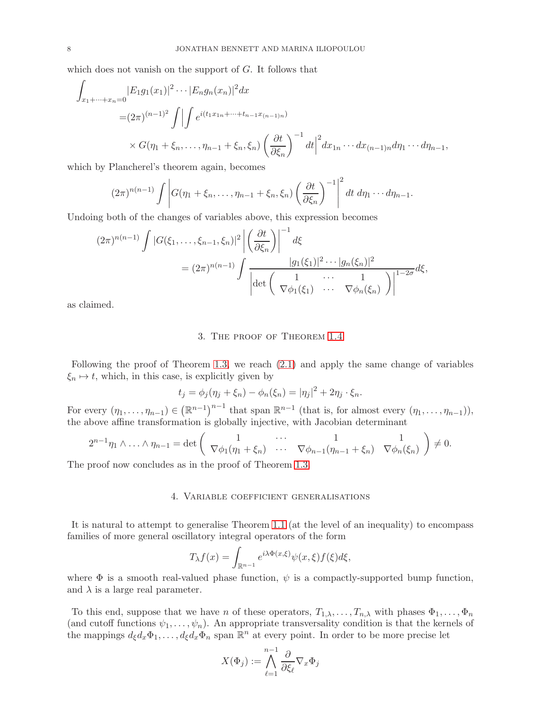which does not vanish on the support of G. It follows that

$$
\int_{x_1 + \dots + x_n = 0} |E_1 g_1(x_1)|^2 \dots |E_n g_n(x_n)|^2 dx
$$
  
=  $(2\pi)^{(n-1)^2} \int \Big| \int e^{i(t_1 x_{1n} + \dots + t_{n-1} x_{(n-1)n})} dx$   
 $\times G(\eta_1 + \xi_n, \dots, \eta_{n-1} + \xi_n, \xi_n) \left(\frac{\partial t}{\partial \xi_n}\right)^{-1} dt \Big|^2 dx_{1n} \dots dx_{(n-1)n} d\eta_1 \dots d\eta_{n-1},$ 

which by Plancherel's theorem again, becomes

$$
(2\pi)^{n(n-1)}\int \left|G(\eta_1+\xi_n,\ldots,\eta_{n-1}+\xi_n,\xi_n)\left(\frac{\partial t}{\partial \xi_n}\right)^{-1}\right|^2 dt d\eta_1\cdots d\eta_{n-1}.
$$

Undoing both of the changes of variables above, this expression becomes

$$
(2\pi)^{n(n-1)}\int |G(\xi_1,\ldots,\xi_{n-1},\xi_n)|^2 \left| \left(\frac{\partial t}{\partial \xi_n}\right) \right|^{-1} d\xi
$$
  
=  $(2\pi)^{n(n-1)}\int \frac{|g_1(\xi_1)|^2 \cdots |g_n(\xi_n)|^2}{\left| \det \left(\begin{array}{ccc} 1 & \cdots & 1 \\ \nabla \phi_1(\xi_1) & \cdots & \nabla \phi_n(\xi_n) \end{array}\right) \right|^{1-2\sigma} d\xi,$ 

as claimed.

## 3. The proof of Theorem 1.4

Following the proof of Theorem 1.3, we reach (2.1) and apply the same change of variables  $\xi_n \mapsto t$ , which, in this case, is explicitly given by

$$
t_j = \phi_j(\eta_j + \xi_n) - \phi_n(\xi_n) = |\eta_j|^2 + 2\eta_j \cdot \xi_n.
$$

For every  $(\eta_1, \ldots, \eta_{n-1}) \in (\mathbb{R}^{n-1})^{n-1}$  that span  $\mathbb{R}^{n-1}$  (that is, for almost every  $(\eta_1, \ldots, \eta_{n-1})$ ), the above affine transformation is globally injective, with Jacobian determinant

$$
2^{n-1}\eta_1\wedge\ldots\wedge\eta_{n-1}=\det\left(\begin{array}{cccc}1&\ldots&1&1\\ \nabla\phi_1(\eta_1+\xi_n)&\ldots&\nabla\phi_{n-1}(\eta_{n-1}+\xi_n)&\nabla\phi_n(\xi_n)\end{array}\right)\neq 0.
$$

The proof now concludes as in the proof of Theorem 1.3.

#### 4. Variable coefficient generalisations

It is natural to attempt to generalise Theorem 1.1 (at the level of an inequality) to encompass families of more general oscillatory integral operators of the form

$$
T_{\lambda}f(x) = \int_{\mathbb{R}^{n-1}} e^{i\lambda \Phi(x,\xi)} \psi(x,\xi) f(\xi) d\xi,
$$

where  $\Phi$  is a smooth real-valued phase function,  $\psi$  is a compactly-supported bump function, and  $\lambda$  is a large real parameter.

To this end, suppose that we have n of these operators,  $T_{1,\lambda}, \ldots, T_{n,\lambda}$  with phases  $\Phi_1, \ldots, \Phi_n$ (and cutoff functions  $\psi_1, \ldots, \psi_n$ ). An appropriate transversality condition is that the kernels of the mappings  $d_{\xi}d_x\Phi_1,\ldots,d_{\xi}d_x\Phi_n$  span  $\mathbb{R}^n$  at every point. In order to be more precise let

$$
X(\Phi_j):=\bigwedge_{\ell=1}^{n-1}\frac{\partial}{\partial\xi_\ell}\nabla_x\Phi_j
$$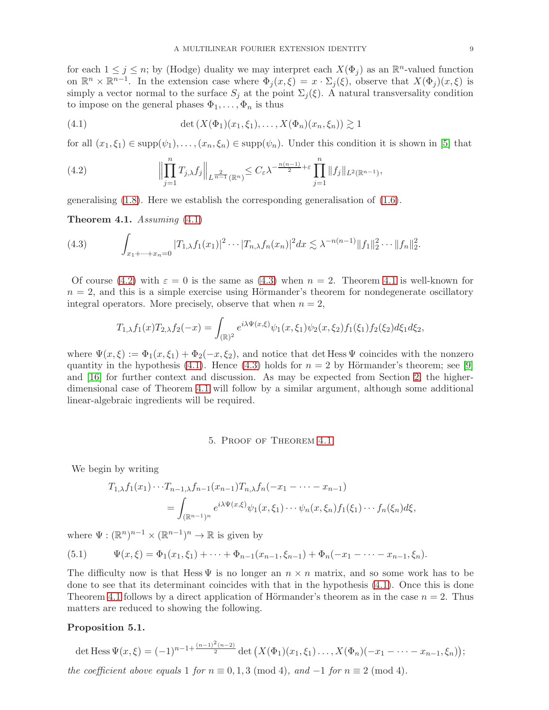for each  $1 \leq j \leq n$ ; by (Hodge) duality we may interpret each  $X(\Phi_j)$  as an  $\mathbb{R}^n$ -valued function on  $\mathbb{R}^n \times \mathbb{R}^{n-1}$ . In the extension case where  $\Phi_j(x,\xi) = x \cdot \Sigma_j(\xi)$ , observe that  $X(\Phi_j)(x,\xi)$  is simply a vector normal to the surface  $S_i$  at the point  $\Sigma_i(\xi)$ . A natural transversality condition to impose on the general phases  $\Phi_1, \ldots, \Phi_n$  is thus

(4.1) 
$$
\det(X(\Phi_1)(x_1,\xi_1),...,X(\Phi_n)(x_n,\xi_n)) \gtrsim 1
$$

for all  $(x_1, \xi_1) \in \text{supp}(\psi_1), \ldots, (x_n, \xi_n) \in \text{supp}(\psi_n)$ . Under this condition it is shown in [5] that

(4.2) 
$$
\Big\|\prod_{j=1}^n T_{j,\lambda} f_j\Big\|_{L^{\frac{2}{n-1}}(\mathbb{R}^n)} \leq C_{\varepsilon} \lambda^{-\frac{n(n-1)}{2}+\varepsilon} \prod_{j=1}^n \|f_j\|_{L^2(\mathbb{R}^{n-1})},
$$

generalising (1.8). Here we establish the corresponding generalisation of (1.6).

**Theorem 4.1.** Assuming  $(4.1)$ 

(4.3) 
$$
\int_{x_1+\dots+x_n=0} |T_{1,\lambda}f_1(x_1)|^2 \cdots |T_{n,\lambda}f_n(x_n)|^2 dx \lesssim \lambda^{-n(n-1)} \|f_1\|_2^2 \cdots \|f_n\|_2^2.
$$

Of course (4.2) with  $\varepsilon = 0$  is the same as (4.3) when  $n = 2$ . Theorem 4.1 is well-known for  $n = 2$ , and this is a simple exercise using Hörmander's theorem for nondegenerate oscillatory integral operators. More precisely, observe that when  $n = 2$ ,

$$
T_{1,\lambda}f_1(x)T_{2,\lambda}f_2(-x) = \int_{(\mathbb{R})^2} e^{i\lambda\Psi(x,\xi)}\psi_1(x,\xi_1)\psi_2(x,\xi_2)f_1(\xi_1)f_2(\xi_2)d\xi_1d\xi_2,
$$

where  $\Psi(x,\xi) := \Phi_1(x,\xi_1) + \Phi_2(-x,\xi_2)$ , and notice that det Hess  $\Psi$  coincides with the nonzero quantity in the hypothesis (4.1). Hence (4.3) holds for  $n = 2$  by Hörmander's theorem; see [9] and [16] for further context and discussion. As may be expected from Section 2, the higherdimensional case of Theorem 4.1 will follow by a similar argument, although some additional linear-algebraic ingredients will be required.

## 5. Proof of Theorem 4.1

We begin by writing

$$
T_{1,\lambda} f_1(x_1) \cdots T_{n-1,\lambda} f_{n-1}(x_{n-1}) T_{n,\lambda} f_n(-x_1 - \cdots - x_{n-1})
$$
  
= 
$$
\int_{(\mathbb{R}^{n-1})^n} e^{i\lambda \Psi(x,\xi)} \psi_1(x,\xi_1) \cdots \psi_n(x,\xi_n) f_1(\xi_1) \cdots f_n(\xi_n) d\xi,
$$

where  $\Psi: (\mathbb{R}^n)^{n-1} \times (\mathbb{R}^{n-1})^n \to \mathbb{R}$  is given by

(5.1) 
$$
\Psi(x,\xi) = \Phi_1(x_1,\xi_1) + \cdots + \Phi_{n-1}(x_{n-1},\xi_{n-1}) + \Phi_n(-x_1 - \cdots - x_{n-1},\xi_n).
$$

The difficulty now is that Hess  $\Psi$  is no longer an  $n \times n$  matrix, and so some work has to be done to see that its determinant coincides with that in the hypothesis (4.1). Once this is done Theorem 4.1 follows by a direct application of Hörmander's theorem as in the case  $n = 2$ . Thus matters are reduced to showing the following.

## Proposition 5.1.

det Hess 
$$
\Psi(x,\xi) = (-1)^{n-1+\frac{(n-1)^2(n-2)}{2}}
$$
 det  $(X(\Phi_1)(x_1,\xi_1)\ldots,X(\Phi_n)(-x_1-\ldots-x_{n-1},\xi_n));$ 

the coefficient above equals 1 for  $n \equiv 0, 1, 3 \pmod{4}$ , and  $-1$  for  $n \equiv 2 \pmod{4}$ .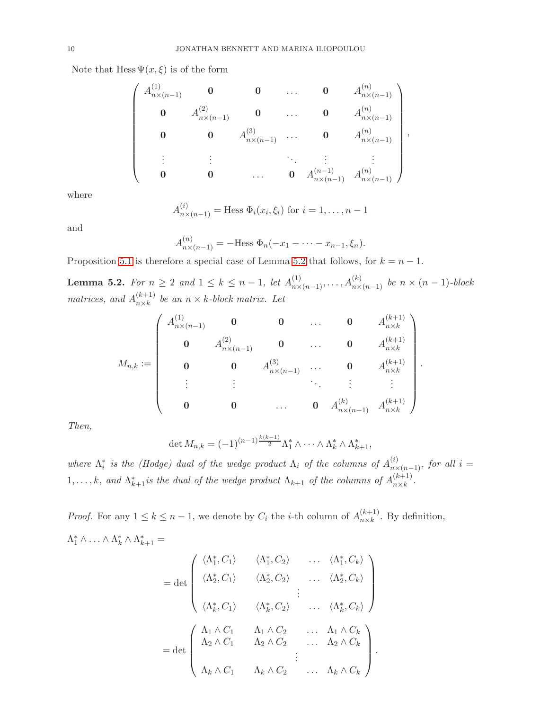Note that Hess  $\Psi(x,\xi)$  is of the form

$$
\begin{pmatrix}\nA_{n\times(n-1)}^{(1)} & \mathbf{0} & \mathbf{0} & \dots & \mathbf{0} & A_{n\times(n-1)}^{(n)} \\
\mathbf{0} & A_{n\times(n-1)}^{(2)} & \mathbf{0} & \dots & \mathbf{0} & A_{n\times(n-1)}^{(n)} \\
\mathbf{0} & \mathbf{0} & A_{n\times(n-1)}^{(3)} & \dots & \mathbf{0} & A_{n\times(n-1)}^{(n)} \\
\vdots & \vdots & \ddots & \vdots & \vdots \\
\mathbf{0} & \mathbf{0} & \dots & \mathbf{0} & A_{n\times(n-1)}^{(n-1)} & A_{n\times(n-1)}^{(n)}\n\end{pmatrix},
$$

where

$$
A_{n\times(n-1)}^{(i)} = \text{Hess }\Phi_i(x_i,\xi_i) \text{ for } i=1,\ldots,n-1
$$

and

$$
A_{n \times (n-1)}^{(n)} = -\text{Hess } \Phi_n(-x_1 - \dots - x_{n-1}, \xi_n).
$$

Proposition 5.1 is therefore a special case of Lemma 5.2 that follows, for  $k = n - 1$ .

**Lemma 5.2.** For  $n \ge 2$  and  $1 \le k \le n-1$ , let  $A_{n \times (n-1)}^{(1)}, \ldots, A_{n \times (n-1)}^{(k)}$  be  $n \times (n-1)$ -block matrices, and  $A_{n\times k}^{(k+1)}$  $\binom{k+1}{n \times k}$  be an  $n \times k$ -block matrix. Let

$$
M_{n,k} := \begin{pmatrix} A_{n \times (n-1)}^{(1)} & \mathbf{0} & \mathbf{0} & \dots & \mathbf{0} & A_{n \times k}^{(k+1)} \\ \mathbf{0} & A_{n \times (n-1)}^{(2)} & \mathbf{0} & \dots & \mathbf{0} & A_{n \times k}^{(k+1)} \\ \mathbf{0} & \mathbf{0} & A_{n \times (n-1)}^{(3)} & \dots & \mathbf{0} & A_{n \times k}^{(k+1)} \\ \vdots & \vdots & \vdots & \ddots & \vdots & \vdots \\ \mathbf{0} & \mathbf{0} & \dots & \mathbf{0} & A_{n \times (n-1)}^{(k)} & A_{n \times k}^{(k+1)} \end{pmatrix}.
$$

Then,

$$
\det M_{n,k} = (-1)^{(n-1)\frac{k(k-1)}{2}} \Lambda_1^* \wedge \cdots \wedge \Lambda_k^* \wedge \Lambda_{k+1}^*,
$$

where  $\Lambda_i^*$  is the (Hodge) dual of the wedge product  $\Lambda_i$  of the columns of  $A_{n\times (n-1)}^{(i)}$ , for all  $i =$ 1,...,k, and  $\Lambda_{k+1}^*$  is the dual of the wedge product  $\Lambda_{k+1}$  of the columns of  $A_{n\times k}^{(k+1)}$  $\frac{\kappa+1}{n\times k}$ .

*Proof.* For any  $1 \leq k \leq n-1$ , we denote by  $C_i$  the *i*-th column of  $A_{n\times k}^{(k+1)}$  $\binom{k+1}{n \times k}$ . By definition,  $\Lambda_1^* \wedge \ldots \wedge \Lambda_k^* \wedge \Lambda_{k+1}^* =$ 

$$
= \det \begin{pmatrix} \langle \Lambda_1^*, C_1 \rangle & \langle \Lambda_1^*, C_2 \rangle & \dots & \langle \Lambda_1^*, C_k \rangle \\ \langle \Lambda_2^*, C_1 \rangle & \langle \Lambda_2^*, C_2 \rangle & \dots & \langle \Lambda_2^*, C_k \rangle \\ \langle \Lambda_k^*, C_1 \rangle & \langle \Lambda_k^*, C_2 \rangle & \dots & \langle \Lambda_k^*, C_k \rangle \end{pmatrix}
$$
  
= det 
$$
\begin{pmatrix} \Lambda_1 \wedge C_1 & \Lambda_1 \wedge C_2 & \dots & \Lambda_1 \wedge C_k \\ \Lambda_2 \wedge C_1 & \Lambda_2 \wedge C_2 & \dots & \Lambda_2 \wedge C_k \\ \vdots & \vdots & \ddots & \vdots \\ \Lambda_k \wedge C_1 & \Lambda_k \wedge C_2 & \dots & \Lambda_k \wedge C_k \end{pmatrix}.
$$

.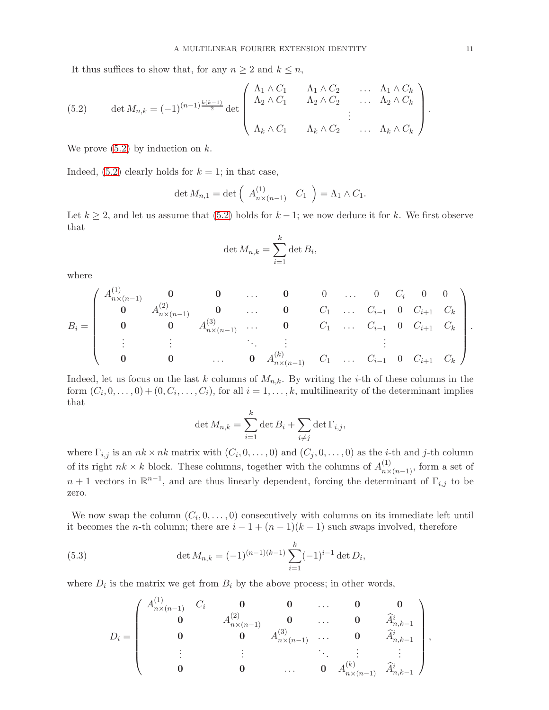It thus suffices to show that, for any  $n \geq 2$  and  $k \leq n$ ,

(5.2) 
$$
\det M_{n,k} = (-1)^{(n-1)\frac{k(k-1)}{2}} \det \begin{pmatrix} \Lambda_1 \wedge C_1 & \Lambda_1 \wedge C_2 & \dots & \Lambda_1 \wedge C_k \\ \Lambda_2 \wedge C_1 & \Lambda_2 \wedge C_2 & \dots & \Lambda_2 \wedge C_k \\ \vdots & \vdots & \ddots & \vdots \\ \Lambda_k \wedge C_1 & \Lambda_k \wedge C_2 & \dots & \Lambda_k \wedge C_k \end{pmatrix}.
$$

We prove  $(5.2)$  by induction on k.

Indeed,  $(5.2)$  clearly holds for  $k = 1$ ; in that case,

$$
\det M_{n,1} = \det \left( A_{n \times (n-1)}^{(1)} \quad C_1 \right) = \Lambda_1 \wedge C_1.
$$

Let  $k \geq 2$ , and let us assume that (5.2) holds for  $k-1$ ; we now deduce it for k. We first observe that

$$
\det M_{n,k} = \sum_{i=1}^{k} \det B_i,
$$

where

B<sup>i</sup> = A (1) <sup>n</sup>×(n−1) 0 0 . . . 0 0 . . . 0 C<sup>i</sup> 0 0 0 A (2) <sup>n</sup>×(n−1) 0 . . . 0 C<sup>1</sup> . . . Ci−<sup>1</sup> 0 Ci+1 C<sup>k</sup> 0 0 A (3) <sup>n</sup>×(n−1) . . . 0 C<sup>1</sup> . . . Ci−<sup>1</sup> 0 Ci+1 C<sup>k</sup> . . . . . . . . . . . . . . . 0 0 . . . 0 A (k) <sup>n</sup>×(n−1) C<sup>1</sup> . . . Ci−<sup>1</sup> 0 Ci+1 C<sup>k</sup> .

Indeed, let us focus on the last k columns of  $M_{n,k}$ . By writing the *i*-th of these columns in the form  $(C_i, 0, \ldots, 0) + (0, C_i, \ldots, C_i)$ , for all  $i = 1, \ldots, k$ , multilinearity of the determinant implies that

$$
\det M_{n,k} = \sum_{i=1}^k \det B_i + \sum_{i \neq j} \det \Gamma_{i,j},
$$

where  $\Gamma_{i,j}$  is an  $nk \times nk$  matrix with  $(C_i, 0, \ldots, 0)$  and  $(C_j, 0, \ldots, 0)$  as the *i*-th and *j*-th column of its right  $nk \times k$  block. These columns, together with the columns of  $A_{n \times (n-1)}^{(1)}$ , form a set of  $n+1$  vectors in  $\mathbb{R}^{n-1}$ , and are thus linearly dependent, forcing the determinant of  $\Gamma_{i,j}$  to be zero.

We now swap the column  $(C_i, 0, \ldots, 0)$  consecutively with columns on its immediate left until it becomes the *n*-th column; there are  $i - 1 + (n - 1)(k - 1)$  such swaps involved, therefore

(5.3) 
$$
\det M_{n,k} = (-1)^{(n-1)(k-1)} \sum_{i=1}^{k} (-1)^{i-1} \det D_i,
$$

where  $D_i$  is the matrix we get from  $B_i$  by the above process; in other words,

$$
D_i=\left(\begin{array}{cccccc} A_{n\times (n-1)}^{(1)} & C_i & \mathbf{0} & \mathbf{0} & \dots & \mathbf{0} & \mathbf{0} \\ \mathbf{0} & A_{n\times (n-1)}^{(2)} & \mathbf{0} & \dots & \mathbf{0} & \widehat{A}_{n,k-1}^i \\ \mathbf{0} & \mathbf{0} & A_{n\times (n-1)}^{(3)} & \dots & \mathbf{0} & \widehat{A}_{n,k-1}^i \\ \vdots & \vdots & \vdots & \ddots & \vdots & \vdots \\ \mathbf{0} & \mathbf{0} & \dots & \mathbf{0} & A_{n\times (n-1)}^{(k)} & \widehat{A}_{n,k-1}^i \end{array}\right),
$$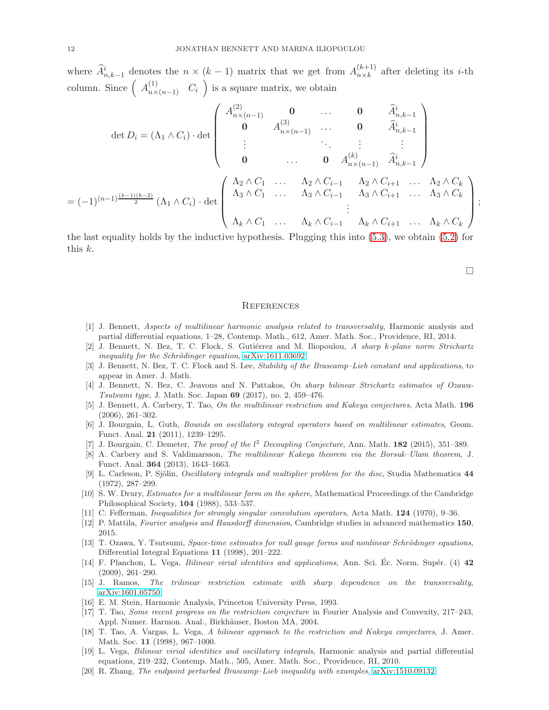where  $\widehat{A}^i_{n,k-1}$  denotes the  $n \times (k-1)$  matrix that we get from  $A^{(k+1)}_{n \times k}$  ${}_{n\times k}^{k+1}$  after deleting its *i*-th column. Since  $\left( A_{n\times(n-1)}^{(1)} \quad C_i \right)$  is a square matrix, we obtain

$$
\det D_{i} = (\Lambda_{1} \wedge C_{i}) \cdot \det \begin{pmatrix} A_{n \times (n-1)}^{(2)} & \mathbf{0} & \dots & \mathbf{0} & \widehat{A}_{n,k-1}^{i} \\ \mathbf{0} & A_{n \times (n-1)}^{(3)} & \dots & \mathbf{0} & \widehat{A}_{n,k-1}^{i} \\ \vdots & \vdots & \ddots & \vdots & \vdots \\ \mathbf{0} & \dots & \mathbf{0} & A_{n \times (n-1)}^{(k)} & \widehat{A}_{n,k-1}^{i} \end{pmatrix}
$$

$$
= (-1)^{(n-1)\frac{(k-1)(k-2)}{2}} (\Lambda_{1} \wedge C_{i}) \cdot \det \begin{pmatrix} \Lambda_{2} \wedge C_{1} & \dots & \Lambda_{2} \wedge C_{i-1} & \Lambda_{2} \wedge C_{i+1} & \dots & \Lambda_{2} \wedge C_{k} \\ \Lambda_{3} \wedge C_{1} & \dots & \Lambda_{3} \wedge C_{i-1} & \Lambda_{3} \wedge C_{i+1} & \dots & \Lambda_{3} \wedge C_{k} \\ \vdots & \vdots & \ddots & \vdots & \vdots \\ \Lambda_{k} \wedge C_{1} & \dots & \Lambda_{k} \wedge C_{i-1} & \Lambda_{k} \wedge C_{i+1} & \dots & \Lambda_{k} \wedge C_{k} \end{pmatrix};
$$

the last equality holds by the inductive hypothesis. Plugging this into (5.3), we obtain (5.2) for this k.

 $\Box$ 

#### **REFERENCES**

- [1] J. Bennett, Aspects of multilinear harmonic analysis related to transversality, Harmonic analysis and partial differential equations, 1–28, Contemp. Math., 612, Amer. Math. Soc., Providence, RI, 2014.
- [2] J. Bennett, N. Bez, T. C. Flock, S. Gutiérrez and M. Iliopoulou, A sharp k-plane norm Strichartz inequality for the Schrödinger equation,  $arXiv:1611.03692$
- [3] J. Bennett, N. Bez, T. C. Flock and S. Lee, Stability of the Brascamp–Lieb constant and applications, to appear in Amer. J. Math.
- [4] J. Bennett, N. Bez, C. Jeavons and N. Pattakos, On sharp bilinear Strichartz estimates of Ozawa-Tsutsumi type, J. Math. Soc. Japan 69 (2017), no. 2, 459–476.
- [5] J. Bennett, A. Carbery, T. Tao, On the multilinear restriction and Kakeya conjectures, Acta Math. 196 (2006), 261–302.
- [6] J. Bourgain, L. Guth, Bounds on oscillatory integral operators based on multilinear estimates, Geom. Funct. Anal. 21 (2011), 1239–1295.
- [7] J. Bourgain, C. Demeter, The proof of the  $l^2$  Decoupling Conjecture, Ann. Math. 182 (2015), 351-389.
- [8] A. Carbery and S. Valdimarsson, The multilinear Kakeya theorem via the Borsuk–Ulam theorem, J. Funct. Anal. 364 (2013), 1643–1663.
- [9] L. Carleson, P. Sjölin, *Oscillatory integrals and multiplier problem for the disc*, Studia Mathematica 44 (1972), 287–299.
- [10] S. W. Drury, Estimates for a multilinear form on the sphere, Mathematical Proceedings of the Cambridge Philosophical Society, 104 (1988), 533–537.
- [11] C. Fefferman, Inequalities for strongly singular convolution operators, Acta Math. 124 (1970), 9–36.
- [12] P. Mattila, Fourier analysis and Hausdorff dimension, Cambridge studies in advanced mathematics 150, 2015.
- [13] T. Ozawa, Y. Tsutsumi, Space-time estimates for null gauge forms and nonlinear Schrödinger equations, Differential Integral Equations 11 (1998), 201–222.
- [14] F. Planchon, L. Vega, *Bilinear virial identities and applications*, Ann. Sci. Ec. Norm. Supér. (4) 42 (2009), 261–290.
- [15] J. Ramos, The trilinear restriction estimate with sharp dependence on the transversality, [arXiv:1601.05750.](http://arxiv.org/abs/1601.05750)
- [16] E. M. Stein, Harmonic Analysis, Princeton University Press, 1993.
- [17] T. Tao, Some recent progress on the restriction conjecture in Fourier Analysis and Convexity, 217–243, Appl. Numer. Harmon. Anal., Birkhäuser, Boston MA, 2004.
- [18] T. Tao, A. Vargas, L. Vega, A bilinear approach to the restriction and Kakeya conjectures, J. Amer. Math. Soc. 11 (1998), 967–1000.
- [19] L. Vega, Bilinear virial identities and oscillatory integrals, Harmonic analysis and partial differential equations, 219–232, Contemp. Math., 505, Amer. Math. Soc., Providence, RI, 2010.
- [20] R. Zhang, The endpoint perturbed Brascamp–Lieb inequality with examples, [arXiv:1510.09132.](http://arxiv.org/abs/1510.09132)